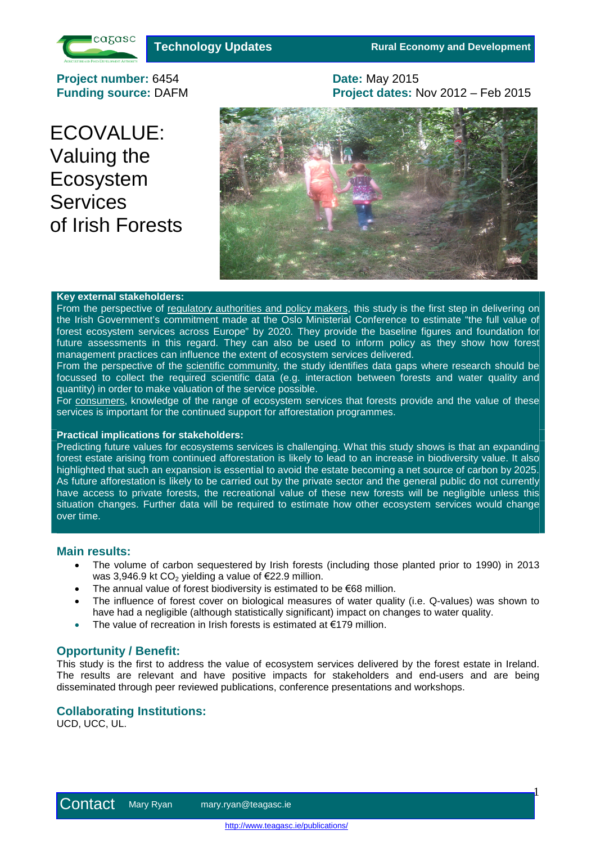

**Technology Updates <b>Rural Economy and Development** 

 $\mathbf{1}$ 

**Project number:** 6454 **Date:** May 2015 **Funding source:** DAFM **Project dates:** Nov 2012 – Feb 2015

ECOVALUE: Valuing the Ecosystem **Services** of Irish Forests



#### **Key external stakeholders:**

From the perspective of regulatory authorities and policy makers, this study is the first step in delivering on the Irish Government's commitment made at the Oslo Ministerial Conference to estimate "the full value of forest ecosystem services across Europe" by 2020. They provide the baseline figures and foundation for future assessments in this regard. They can also be used to inform policy as they show how forest management practices can influence the extent of ecosystem services delivered.

From the perspective of the scientific community, the study identifies data gaps where research should be focussed to collect the required scientific data (e.g. interaction between forests and water quality and quantity) in order to make valuation of the service possible.

For consumers, knowledge of the range of ecosystem services that forests provide and the value of these services is important for the continued support for afforestation programmes.

## **Practical implications for stakeholders:**

Predicting future values for ecosystems services is challenging. What this study shows is that an expanding forest estate arising from continued afforestation is likely to lead to an increase in biodiversity value. It also highlighted that such an expansion is essential to avoid the estate becoming a net source of carbon by 2025. As future afforestation is likely to be carried out by the private sector and the general public do not currently have access to private forests, the recreational value of these new forests will be negligible unless this situation changes. Further data will be required to estimate how other ecosystem services would change over time.

# **Main results:**

- The volume of carbon sequestered by Irish forests (including those planted prior to 1990) in 2013 was 3,946.9 kt  $CO<sub>2</sub>$  yielding a value of  $\epsilon$ 22.9 million.
- The annual value of forest biodiversity is estimated to be €68 million.
- The influence of forest cover on biological measures of water quality (i.e. Q-values) was shown to have had a negligible (although statistically significant) impact on changes to water quality.
- The value of recreation in Irish forests is estimated at €179 million.

## **Opportunity / Benefit:**

This study is the first to address the value of ecosystem services delivered by the forest estate in Ireland. The results are relevant and have positive impacts for stakeholders and end-users and are being disseminated through peer reviewed publications, conference presentations and workshops.

# **Collaborating Institutions:**

UCD, UCC, UL.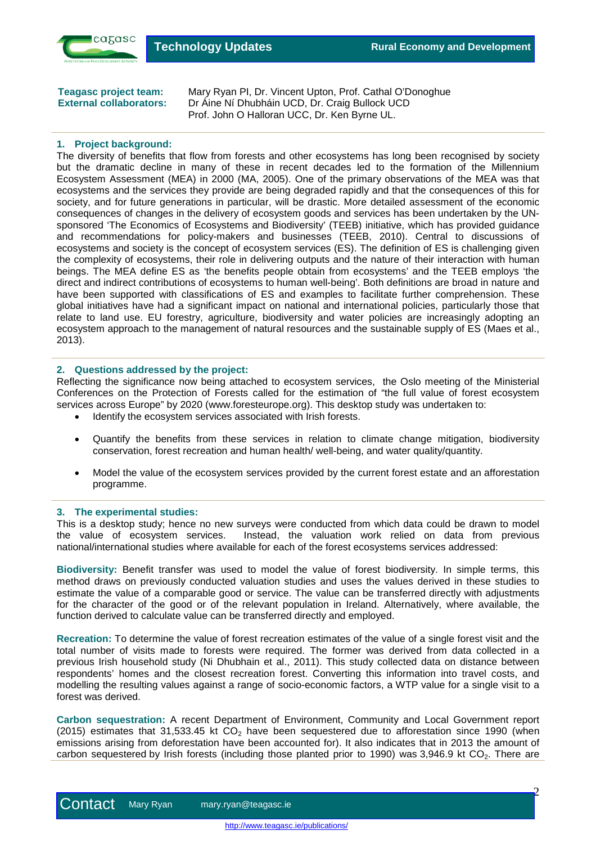

 $\overline{P}$ 

**Teagasc project team:** Mary Ryan PI, Dr. Vincent Upton, Prof. Cathal O'Donoghue **External collaborators:** Dr Áine Ní Dhubháin UCD, Dr. Craig Bullock UCD Prof. John O Halloran UCC, Dr. Ken Byrne UL.

## **1. Project background:**

The diversity of benefits that flow from forests and other ecosystems has long been recognised by society but the dramatic decline in many of these in recent decades led to the formation of the Millennium Ecosystem Assessment (MEA) in 2000 (MA, 2005). One of the primary observations of the MEA was that ecosystems and the services they provide are being degraded rapidly and that the consequences of this for society, and for future generations in particular, will be drastic. More detailed assessment of the economic consequences of changes in the delivery of ecosystem goods and services has been undertaken by the UNsponsored 'The Economics of Ecosystems and Biodiversity' (TEEB) initiative, which has provided guidance and recommendations for policy-makers and businesses (TEEB, 2010). Central to discussions of ecosystems and society is the concept of ecosystem services (ES). The definition of ES is challenging given the complexity of ecosystems, their role in delivering outputs and the nature of their interaction with human beings. The MEA define ES as 'the benefits people obtain from ecosystems' and the TEEB employs 'the direct and indirect contributions of ecosystems to human well-being'. Both definitions are broad in nature and have been supported with classifications of ES and examples to facilitate further comprehension. These global initiatives have had a significant impact on national and international policies, particularly those that relate to land use. EU forestry, agriculture, biodiversity and water policies are increasingly adopting an ecosystem approach to the management of natural resources and the sustainable supply of ES (Maes et al., 2013).

## **2. Questions addressed by the project:**

Reflecting the significance now being attached to ecosystem services, the Oslo meeting of the Ministerial Conferences on the Protection of Forests called for the estimation of "the full value of forest ecosystem services across Europe" by 2020 [\(www.foresteurope.org](http://www.foresteurope.org/)). This desktop study was undertaken to:

- Identify the ecosystem services associated with Irish forests.
- Quantify the benefits from these services in relation to climate change mitigation, biodiversity conservation, forest recreation and human health/ well-being, and water quality/quantity.
- Model the value of the ecosystem services provided by the current forest estate and an afforestation programme.

#### **3. The experimental studies:**

This is a desktop study; hence no new surveys were conducted from which data could be drawn to model the value of ecosystem services. Instead, the valuation work relied on data from previous national/international studies where available for each of the forest ecosystems services addressed:

**Biodiversity:** Benefit transfer was used to model the value of forest biodiversity. In simple terms, this method draws on previously conducted valuation studies and uses the values derived in these studies to estimate the value of a comparable good or service. The value can be transferred directly with adjustments for the character of the good or of the relevant population in Ireland. Alternatively, where available, the function derived to calculate value can be transferred directly and employed.

**Recreation:** To determine the value of forest recreation estimates of the value of a single forest visit and the total number of visits made to forests were required. The former was derived from data collected in a previous Irish household study (Ni Dhubhain et al., 2011). This study collected data on distance between respondents' homes and the closest recreation forest. Converting this information into travel costs, and modelling the resulting values against a range of socio-economic factors, a WTP value for a single visit to a forest was derived.

**Carbon sequestration:** A recent Department of Environment, Community and Local Government report  $(2015)$  estimates that 31,533,45 kt CO<sub>2</sub> have been sequestered due to afforestation since 1990 (when emissions arising from deforestation have been accounted for). It also indicates that in 2013 the amount of carbon sequestered by Irish forests (including those planted prior to 1990) was 3,946.9 kt  $CO<sub>2</sub>$ . There are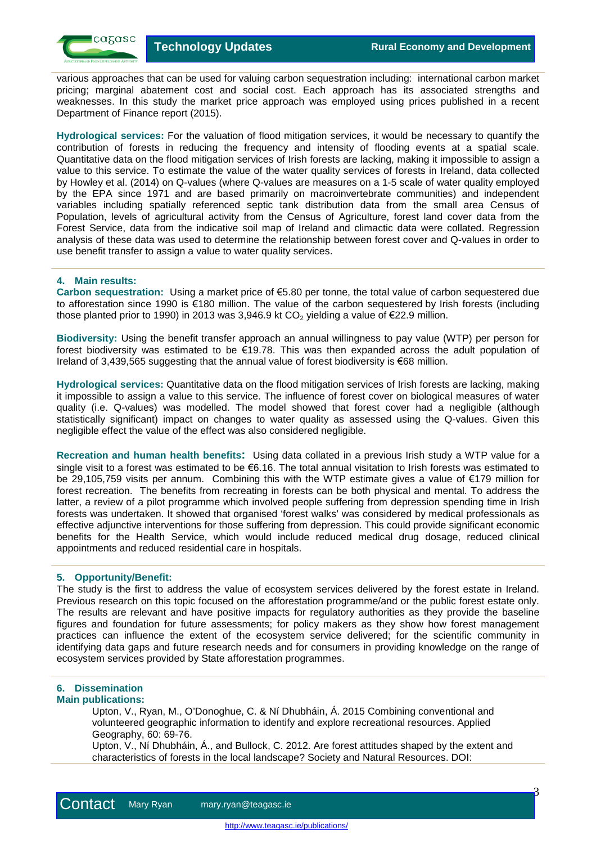$\beta$ 

various approaches that can be used for valuing carbon sequestration including: international carbon market pricing; marginal abatement cost and social cost. Each approach has its associated strengths and weaknesses. In this study the market price approach was employed using prices published in a recent Department of Finance report (2015).

**Hydrological services:** For the valuation of flood mitigation services, it would be necessary to quantify the contribution of forests in reducing the frequency and intensity of flooding events at a spatial scale. Quantitative data on the flood mitigation services of Irish forests are lacking, making it impossible to assign a value to this service. To estimate the value of the water quality services of forests in Ireland, data collected by Howley et al. (2014) on Q-values (where Q-values are measures on a 1-5 scale of water quality employed by the EPA since 1971 and are based primarily on macroinvertebrate communities) and independent variables including spatially referenced septic tank distribution data from the small area Census of Population, levels of agricultural activity from the Census of Agriculture, forest land cover data from the Forest Service, data from the indicative soil map of Ireland and climactic data were collated. Regression analysis of these data was used to determine the relationship between forest cover and Q-values in order to use benefit transfer to assign a value to water quality services.

# **4. Main results:**

**Carbon sequestration:** Using a market price of €5.80 per tonne, the total value of carbon sequestered due to afforestation since 1990 is €180 million. The value of the carbon sequestered by Irish forests (including those planted prior to 1990) in 2013 was 3,946.9 kt CO<sub>2</sub> yielding a value of  $E$ 22.9 million.

**Biodiversity:** Using the benefit transfer approach an annual willingness to pay value (WTP) per person for forest biodiversity was estimated to be €19.78. This was then expanded across the adult population of Ireland of 3,439,565 suggesting that the annual value of forest biodiversity is €68 million.

**Hydrological services:** Quantitative data on the flood mitigation services of Irish forests are lacking, making it impossible to assign a value to this service. The influence of forest cover on biological measures of water quality (i.e. Q-values) was modelled. The model showed that forest cover had a negligible (although statistically significant) impact on changes to water quality as assessed using the Q-values. Given this negligible effect the value of the effect was also considered negligible.

**Recreation and human health benefits:** Using data collated in a previous Irish study a WTP value for a single visit to a forest was estimated to be €6.16. The total annual visitation to Irish forests was estimated to be 29,105,759 visits per annum. Combining this with the WTP estimate gives a value of €179 million for forest recreation. The benefits from recreating in forests can be both physical and mental. To address the latter, a review of a pilot programme which involved people suffering from depression spending time in Irish forests was undertaken. It showed that organised 'forest walks' was considered by medical professionals as effective adjunctive interventions for those suffering from depression. This could provide significant economic benefits for the Health Service, which would include reduced medical drug dosage, reduced clinical appointments and reduced residential care in hospitals.

# **5. Opportunity/Benefit:**

The study is the first to address the value of ecosystem services delivered by the forest estate in Ireland. Previous research on this topic focused on the afforestation programme/and or the public forest estate only. The results are relevant and have positive impacts for regulatory authorities as they provide the baseline figures and foundation for future assessments; for policy makers as they show how forest management practices can influence the extent of the ecosystem service delivered; for the scientific community in identifying data gaps and future research needs and for consumers in providing knowledge on the range of ecosystem services provided by State afforestation programmes.

# **6. Dissemination**

## **Main publications:**

Upton, V., Ryan, M., O'Donoghue, C. & Ní Dhubháin, Á. 2015 Combining conventional and volunteered geographic information to identify and explore recreational resources. Applied Geography, 60: 69-76.

Upton, V., Ní Dhubháin, Á., and Bullock, C. 2012. Are forest attitudes shaped by the extent and characteristics of forests in the local landscape? Society and Natural Resources. DOI: